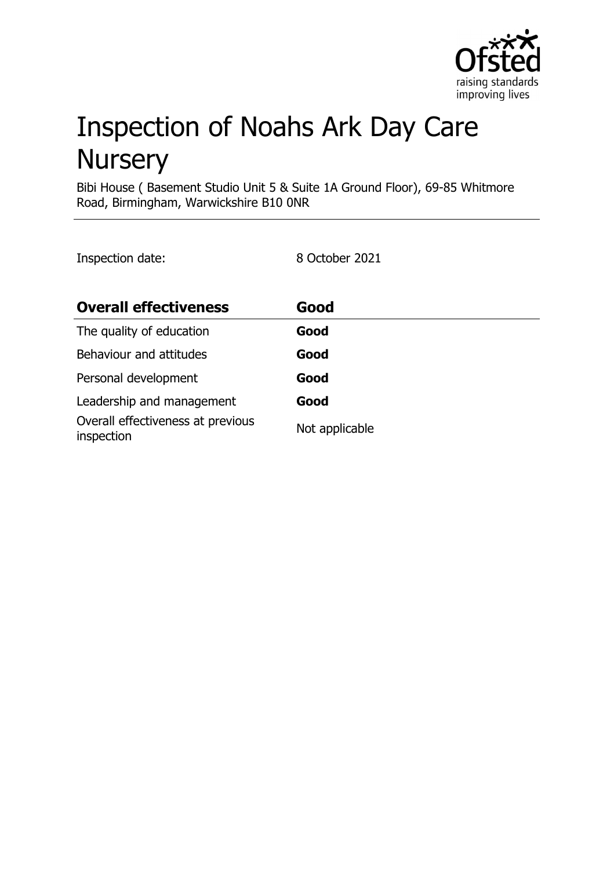

# Inspection of Noahs Ark Day Care **Nursery**

Bibi House ( Basement Studio Unit 5 & Suite 1A Ground Floor), 69-85 Whitmore Road, Birmingham, Warwickshire B10 0NR

Inspection date: 8 October 2021

| <b>Overall effectiveness</b>                    | Good           |
|-------------------------------------------------|----------------|
| The quality of education                        | Good           |
| Behaviour and attitudes                         | Good           |
| Personal development                            | Good           |
| Leadership and management                       | Good           |
| Overall effectiveness at previous<br>inspection | Not applicable |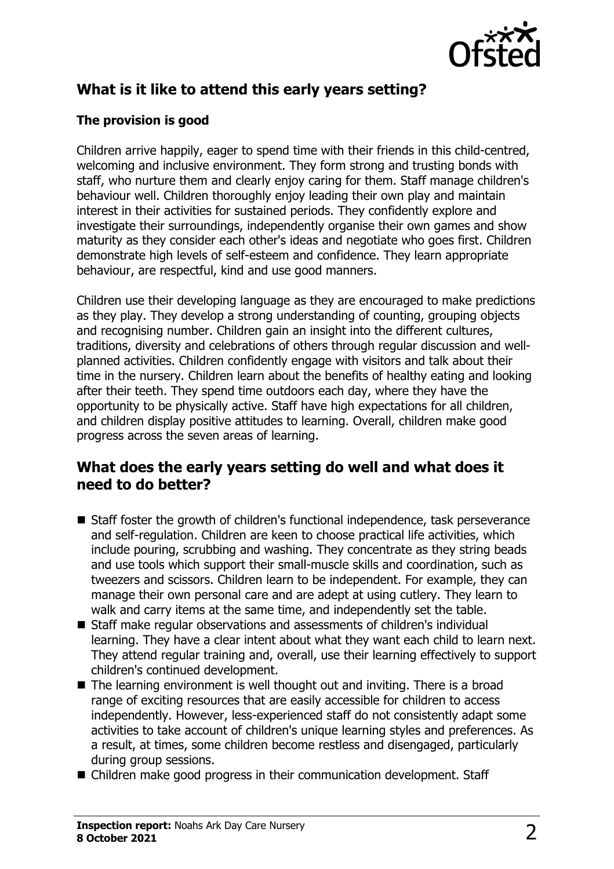

# **What is it like to attend this early years setting?**

### **The provision is good**

Children arrive happily, eager to spend time with their friends in this child-centred, welcoming and inclusive environment. They form strong and trusting bonds with staff, who nurture them and clearly enjoy caring for them. Staff manage children's behaviour well. Children thoroughly enjoy leading their own play and maintain interest in their activities for sustained periods. They confidently explore and investigate their surroundings, independently organise their own games and show maturity as they consider each other's ideas and negotiate who goes first. Children demonstrate high levels of self-esteem and confidence. They learn appropriate behaviour, are respectful, kind and use good manners.

Children use their developing language as they are encouraged to make predictions as they play. They develop a strong understanding of counting, grouping objects and recognising number. Children gain an insight into the different cultures, traditions, diversity and celebrations of others through regular discussion and wellplanned activities. Children confidently engage with visitors and talk about their time in the nursery. Children learn about the benefits of healthy eating and looking after their teeth. They spend time outdoors each day, where they have the opportunity to be physically active. Staff have high expectations for all children, and children display positive attitudes to learning. Overall, children make good progress across the seven areas of learning.

## **What does the early years setting do well and what does it need to do better?**

- Staff foster the growth of children's functional independence, task perseverance and self-regulation. Children are keen to choose practical life activities, which include pouring, scrubbing and washing. They concentrate as they string beads and use tools which support their small-muscle skills and coordination, such as tweezers and scissors. Children learn to be independent. For example, they can manage their own personal care and are adept at using cutlery. They learn to walk and carry items at the same time, and independently set the table.
- Staff make regular observations and assessments of children's individual learning. They have a clear intent about what they want each child to learn next. They attend regular training and, overall, use their learning effectively to support children's continued development.
- $\blacksquare$  The learning environment is well thought out and inviting. There is a broad range of exciting resources that are easily accessible for children to access independently. However, less-experienced staff do not consistently adapt some activities to take account of children's unique learning styles and preferences. As a result, at times, some children become restless and disengaged, particularly during group sessions.
- Children make good progress in their communication development. Staff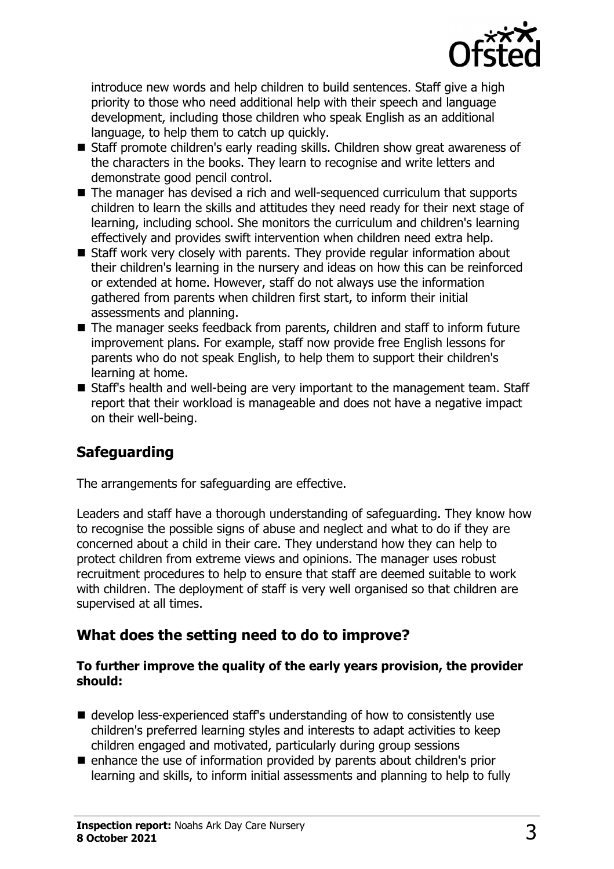

introduce new words and help children to build sentences. Staff give a high priority to those who need additional help with their speech and language development, including those children who speak English as an additional language, to help them to catch up quickly.

- Staff promote children's early reading skills. Children show great awareness of the characters in the books. They learn to recognise and write letters and demonstrate good pencil control.
- The manager has devised a rich and well-sequenced curriculum that supports children to learn the skills and attitudes they need ready for their next stage of learning, including school. She monitors the curriculum and children's learning effectively and provides swift intervention when children need extra help.
- $\blacksquare$  Staff work very closely with parents. They provide regular information about their children's learning in the nursery and ideas on how this can be reinforced or extended at home. However, staff do not always use the information gathered from parents when children first start, to inform their initial assessments and planning.
- The manager seeks feedback from parents, children and staff to inform future improvement plans. For example, staff now provide free English lessons for parents who do not speak English, to help them to support their children's learning at home.
- Staff's health and well-being are very important to the management team. Staff report that their workload is manageable and does not have a negative impact on their well-being.

# **Safeguarding**

The arrangements for safeguarding are effective.

Leaders and staff have a thorough understanding of safeguarding. They know how to recognise the possible signs of abuse and neglect and what to do if they are concerned about a child in their care. They understand how they can help to protect children from extreme views and opinions. The manager uses robust recruitment procedures to help to ensure that staff are deemed suitable to work with children. The deployment of staff is very well organised so that children are supervised at all times.

# **What does the setting need to do to improve?**

#### **To further improve the quality of the early years provision, the provider should:**

- $\blacksquare$  develop less-experienced staff's understanding of how to consistently use children's preferred learning styles and interests to adapt activities to keep children engaged and motivated, particularly during group sessions
- $\blacksquare$  enhance the use of information provided by parents about children's prior learning and skills, to inform initial assessments and planning to help to fully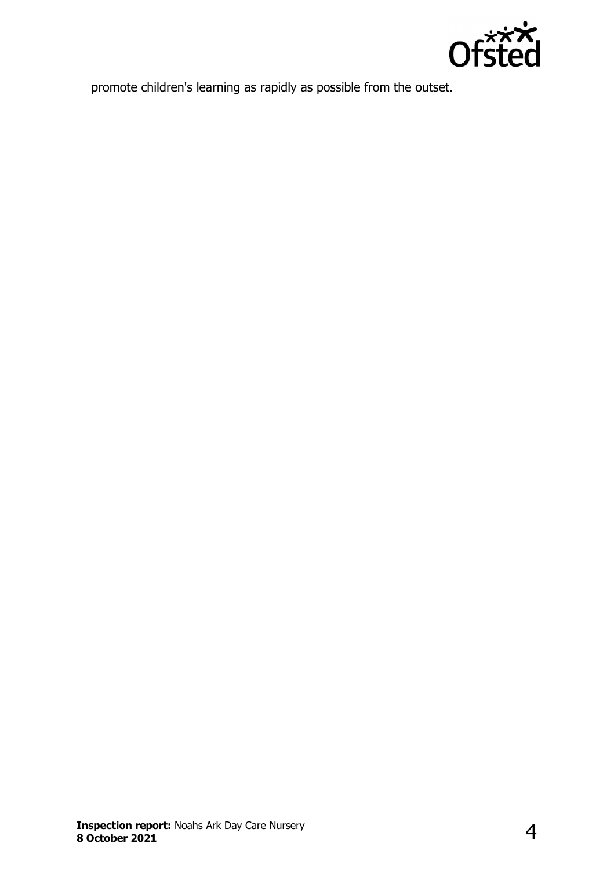

promote children's learning as rapidly as possible from the outset.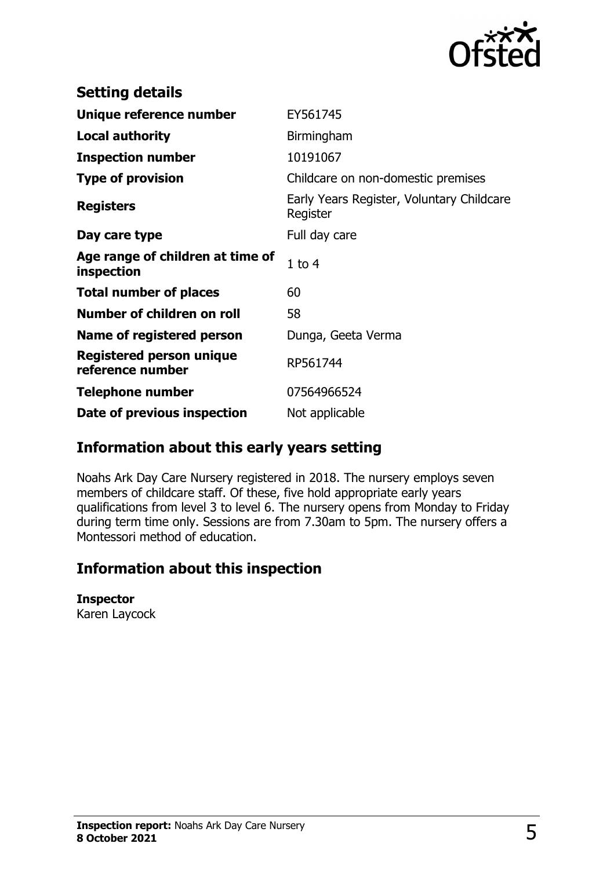

| <b>Setting details</b>                         |                                                       |
|------------------------------------------------|-------------------------------------------------------|
| Unique reference number                        | EY561745                                              |
| <b>Local authority</b>                         | Birmingham                                            |
| <b>Inspection number</b>                       | 10191067                                              |
| <b>Type of provision</b>                       | Childcare on non-domestic premises                    |
| <b>Registers</b>                               | Early Years Register, Voluntary Childcare<br>Register |
| Day care type                                  | Full day care                                         |
| Age range of children at time of<br>inspection | $1$ to $4$                                            |
| <b>Total number of places</b>                  | 60                                                    |
| Number of children on roll                     | 58                                                    |
| Name of registered person                      | Dunga, Geeta Verma                                    |
| Registered person unique<br>reference number   | RP561744                                              |
| Telephone number                               | 07564966524                                           |
| Date of previous inspection                    | Not applicable                                        |

## **Information about this early years setting**

Noahs Ark Day Care Nursery registered in 2018. The nursery employs seven members of childcare staff. Of these, five hold appropriate early years qualifications from level 3 to level 6. The nursery opens from Monday to Friday during term time only. Sessions are from 7.30am to 5pm. The nursery offers a Montessori method of education.

## **Information about this inspection**

#### **Inspector**

Karen Laycock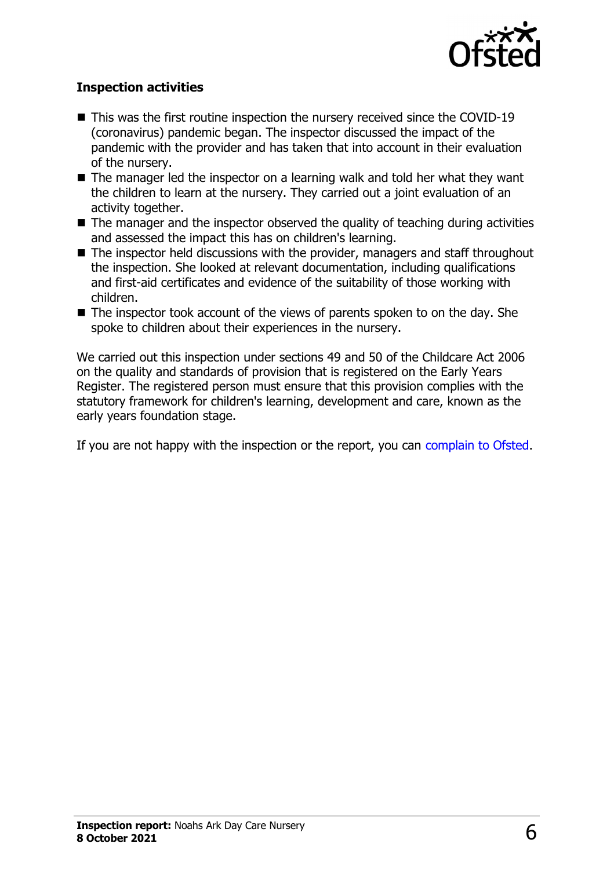

#### **Inspection activities**

- $\blacksquare$  This was the first routine inspection the nursery received since the COVID-19 (coronavirus) pandemic began. The inspector discussed the impact of the pandemic with the provider and has taken that into account in their evaluation of the nursery.
- $\blacksquare$  The manager led the inspector on a learning walk and told her what they want the children to learn at the nursery. They carried out a joint evaluation of an activity together.
- The manager and the inspector observed the quality of teaching during activities and assessed the impact this has on children's learning.
- $\blacksquare$  The inspector held discussions with the provider, managers and staff throughout the inspection. She looked at relevant documentation, including qualifications and first-aid certificates and evidence of the suitability of those working with children.
- $\blacksquare$  The inspector took account of the views of parents spoken to on the day. She spoke to children about their experiences in the nursery.

We carried out this inspection under sections 49 and 50 of the Childcare Act 2006 on the quality and standards of provision that is registered on the Early Years Register. The registered person must ensure that this provision complies with the statutory framework for children's learning, development and care, known as the early years foundation stage.

If you are not happy with the inspection or the report, you can [complain to Ofsted](http://www.gov.uk/complain-ofsted-report).